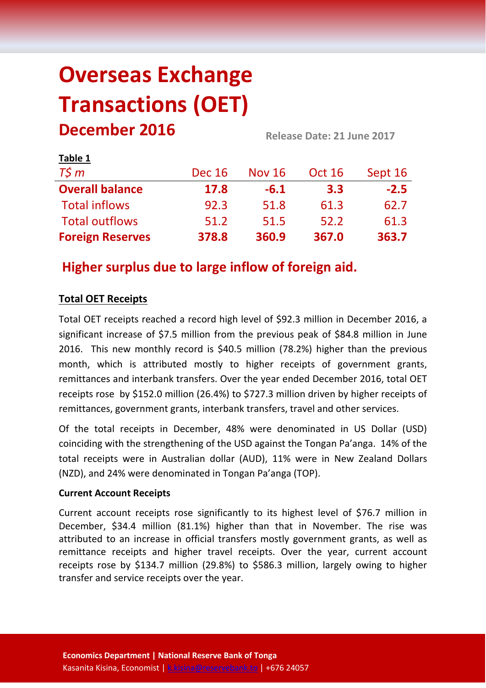# **Overseas Exchange Transactions (OET) December 2016 Release Date: <sup>21</sup> June <sup>2017</sup>**

| Table 1                 |               |               |               |         |
|-------------------------|---------------|---------------|---------------|---------|
| $T\zeta m$              | <b>Dec 16</b> | <b>Nov 16</b> | <b>Oct 16</b> | Sept 16 |
| <b>Overall balance</b>  | 17.8          | $-6.1$        | 3.3           | $-2.5$  |
| <b>Total inflows</b>    | 92.3          | 51.8          | 61.3          | 62.7    |
| <b>Total outflows</b>   | 51.2          | 51.5          | 52.2          | 61.3    |
| <b>Foreign Reserves</b> | 378.8         | 360.9         | 367.0         | 363.7   |

# **Higher surplus due to large inflow of foreign aid.**

# **Total OET Receipts**

Total OET receipts reached a record high level of \$92.3 million in December 2016, a significant increase of \$7.5 million from the previous peak of \$84.8 million in June 2016. This new monthly record is \$40.5 million (78.2%) higher than the previous month, which is attributed mostly to higher receipts of government grants, remittances and interbank transfers. Over the year ended December 2016, total OET receipts rose by \$152.0 million (26.4%) to \$727.3 million driven by higher receipts of remittances, government grants, interbank transfers, travel and other services.

Of the total receipts in December, 48% were denominated in US Dollar (USD) coinciding with the strengthening of the USD against the Tongan Pa'anga. 14% of the total receipts were in Australian dollar (AUD), 11% were in New Zealand Dollars (NZD), and 24% were denominated in Tongan Pa'anga (TOP).

## **Current Account Receipts**

Current account receipts rose significantly to its highest level of \$76.7 million in December, \$34.4 million (81.1%) higher than that in November. The rise was attributed to an increase in official transfers mostly government grants, as well as remittance receipts and higher travel receipts. Over the year, current account receipts rose by \$134.7 million (29.8%) to \$586.3 million, largely owing to higher transfer and service receipts over the year.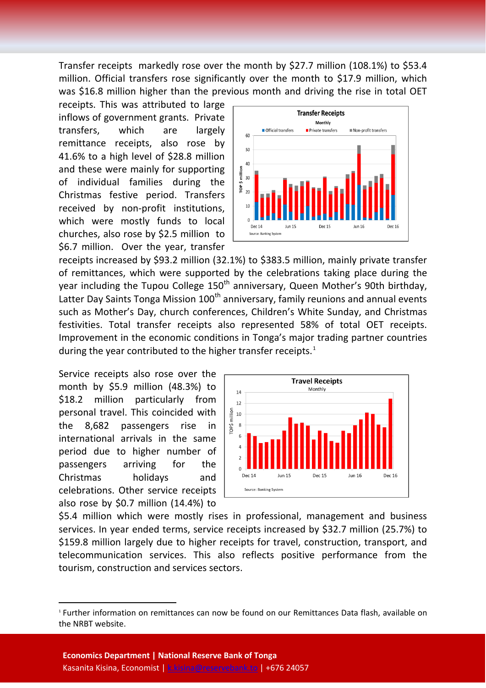Transfer receipts markedly rose over the month by \$27.7 million (108.1%) to \$53.4 million. Official transfers rose significantly over the month to \$17.9 million, which was \$16.8 million higher than the previous month and driving the rise in total OET

receipts. This was attributed to large inflows of government grants. Private transfers, which are largely remittance receipts, also rose by 41.6% to a high level of \$28.8 million and these were mainly for supporting of individual families during the Christmas festive period. Transfers received by non-profit institutions, which were mostly funds to local churches, also rose by \$2.5 million to \$6.7 million. Over the year, transfer



receipts increased by \$93.2 million (32.1%) to \$383.5 million, mainly private transfer of remittances, which were supported by the celebrations taking place during the year including the Tupou College  $150<sup>th</sup>$  anniversary, Queen Mother's 90th birthday, Latter Day Saints Tonga Mission 100<sup>th</sup> anniversary, family reunions and annual events such as Mother's Day, church conferences, Children's White Sunday, and Christmas festivities. Total transfer receipts also represented 58% of total OET receipts. Improvement in the economic conditions in Tonga's major trading partner countries during the year contributed to the higher transfer receipts.<sup>[1](#page-1-0)</sup>

Service receipts also rose over the month by \$5.9 million (48.3%) to \$18.2 million particularly from personal travel. This coincided with the 8,682 passengers rise in international arrivals in the same period due to higher number of passengers arriving for the Christmas holidays and celebrations. Other service receipts also rose by \$0.7 million (14.4%) to



\$5.4 million which were mostly rises in professional, management and business services. In year ended terms, service receipts increased by \$32.7 million (25.7%) to \$159.8 million largely due to higher receipts for travel, construction, transport, and telecommunication services. This also reflects positive performance from the tourism, construction and services sectors.

<span id="page-1-0"></span><sup>&</sup>lt;sup>1</sup> Further information on remittances can now be found on our Remittances Data flash, available on the NRBT website.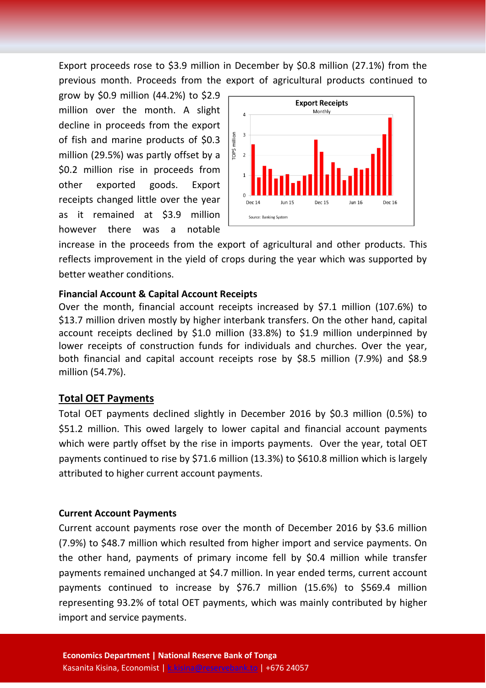Export proceeds rose to \$3.9 million in December by \$0.8 million (27.1%) from the previous month. Proceeds from the export of agricultural products continued to

grow by \$0.9 million (44.2%) to \$2.9 million over the month. A slight decline in proceeds from the export of fish and marine products of \$0.3 million (29.5%) was partly offset by a \$0.2 million rise in proceeds from other exported goods. Export receipts changed little over the year as it remained at \$3.9 million however there was a notable



increase in the proceeds from the export of agricultural and other products. This reflects improvement in the yield of crops during the year which was supported by better weather conditions.

#### **Financial Account & Capital Account Receipts**

Over the month, financial account receipts increased by \$7.1 million (107.6%) to \$13.7 million driven mostly by higher interbank transfers. On the other hand, capital account receipts declined by \$1.0 million (33.8%) to \$1.9 million underpinned by lower receipts of construction funds for individuals and churches. Over the year, both financial and capital account receipts rose by \$8.5 million (7.9%) and \$8.9 million (54.7%).

#### **Total OET Payments**

Total OET payments declined slightly in December 2016 by \$0.3 million (0.5%) to \$51.2 million. This owed largely to lower capital and financial account payments which were partly offset by the rise in imports payments. Over the year, total OET payments continued to rise by \$71.6 million (13.3%) to \$610.8 million which is largely attributed to higher current account payments.

#### **Current Account Payments**

Current account payments rose over the month of December 2016 by \$3.6 million (7.9%) to \$48.7 million which resulted from higher import and service payments. On the other hand, payments of primary income fell by \$0.4 million while transfer payments remained unchanged at \$4.7 million. In year ended terms, current account payments continued to increase by \$76.7 million (15.6%) to \$569.4 million representing 93.2% of total OET payments, which was mainly contributed by higher import and service payments.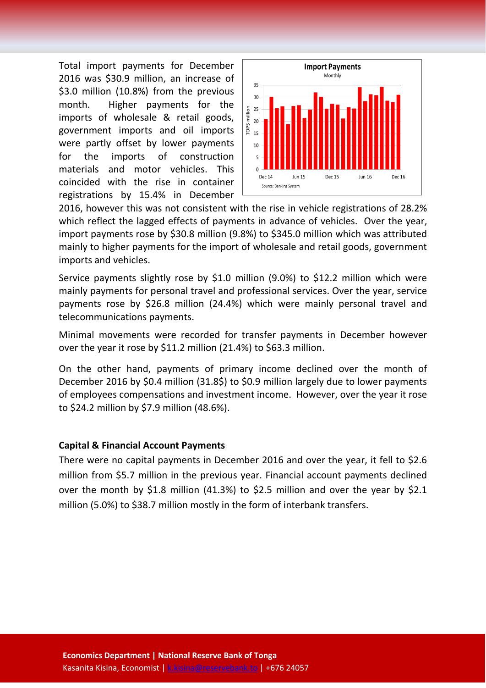Total import payments for December 2016 was \$30.9 million, an increase of \$3.0 million (10.8%) from the previous month. Higher payments for the imports of wholesale & retail goods, government imports and oil imports were partly offset by lower payments for the imports of construction materials and motor vehicles. This coincided with the rise in container registrations by 15.4% in December



2016, however this was not consistent with the rise in vehicle registrations of 28.2% which reflect the lagged effects of payments in advance of vehicles. Over the year, import payments rose by \$30.8 million (9.8%) to \$345.0 million which was attributed mainly to higher payments for the import of wholesale and retail goods, government imports and vehicles.

Service payments slightly rose by \$1.0 million (9.0%) to \$12.2 million which were mainly payments for personal travel and professional services. Over the year, service payments rose by \$26.8 million (24.4%) which were mainly personal travel and telecommunications payments.

Minimal movements were recorded for transfer payments in December however over the year it rose by \$11.2 million (21.4%) to \$63.3 million.

On the other hand, payments of primary income declined over the month of December 2016 by \$0.4 million (31.8\$) to \$0.9 million largely due to lower payments of employees compensations and investment income. However, over the year it rose to \$24.2 million by \$7.9 million (48.6%).

#### **Capital & Financial Account Payments**

There were no capital payments in December 2016 and over the year, it fell to \$2.6 million from \$5.7 million in the previous year. Financial account payments declined over the month by \$1.8 million (41.3%) to \$2.5 million and over the year by \$2.1 million (5.0%) to \$38.7 million mostly in the form of interbank transfers.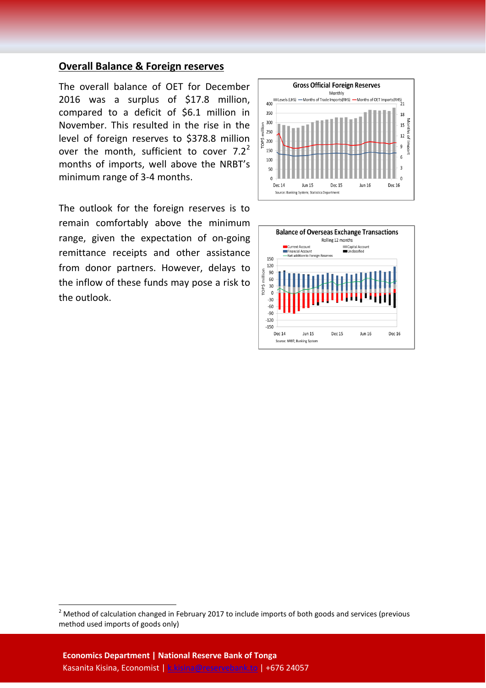### **Overall Balance & Foreign reserves**

The overall balance of OET for December 2016 was a surplus of \$17.8 million, compared to a deficit of \$6.1 million in November. This resulted in the rise in the level of foreign reserves to \$378.8 million over the month, sufficient to cover  $7.2<sup>2</sup>$  $7.2<sup>2</sup>$  $7.2<sup>2</sup>$ months of imports, well above the NRBT's minimum range of 3-4 months.

The outlook for the foreign reserves is to remain comfortably above the minimum range, given the expectation of on-going remittance receipts and other assistance from donor partners. However, delays to the inflow of these funds may pose a risk to the outlook.





<span id="page-4-0"></span><sup>&</sup>lt;sup>2</sup> Method of calculation changed in February 2017 to include imports of both goods and services (previous method used imports of goods only)